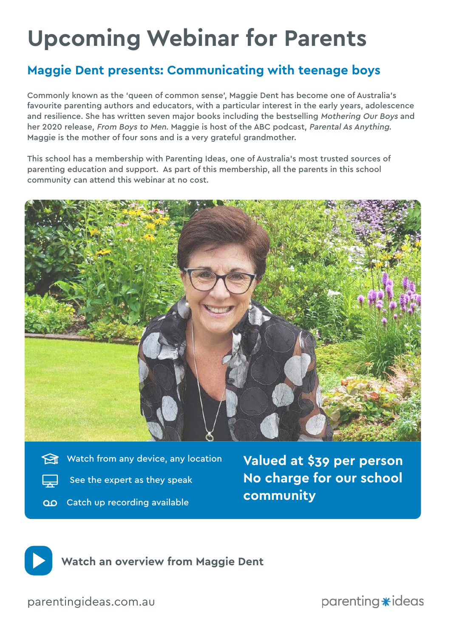# **Upcoming Webinar for Parents**

## **Maggie Dent presents: Communicating with teenage boys**

Commonly known as the 'queen of common sense', Maggie Dent has become one of Australia's favourite parenting authors and educators, with a particular interest in the early years, adolescence and resilience. She has written seven major books including the bestselling Mothering Our Boys and her 2020 release, From Boys to Men. Maggie is host of the ABC podcast, Parental As Anything. Maggie is the mother of four sons and is a very grateful grandmother.

This school has a membership with Parenting Ideas, one of Australia's most trusted sources of parenting education and support. As part of this membership, all the parents in this school community can attend this webinar at no cost.



- Watch from any device, any location
	- See the expert as they speak
- OO Catch up recording available

**Valued at \$39 per person No charge for our school community**



**[Watch an overview from Maggie Dent](https://vimeo.com/499880063)**

[parentingideas.com.au](http://parentingideas.com.au)